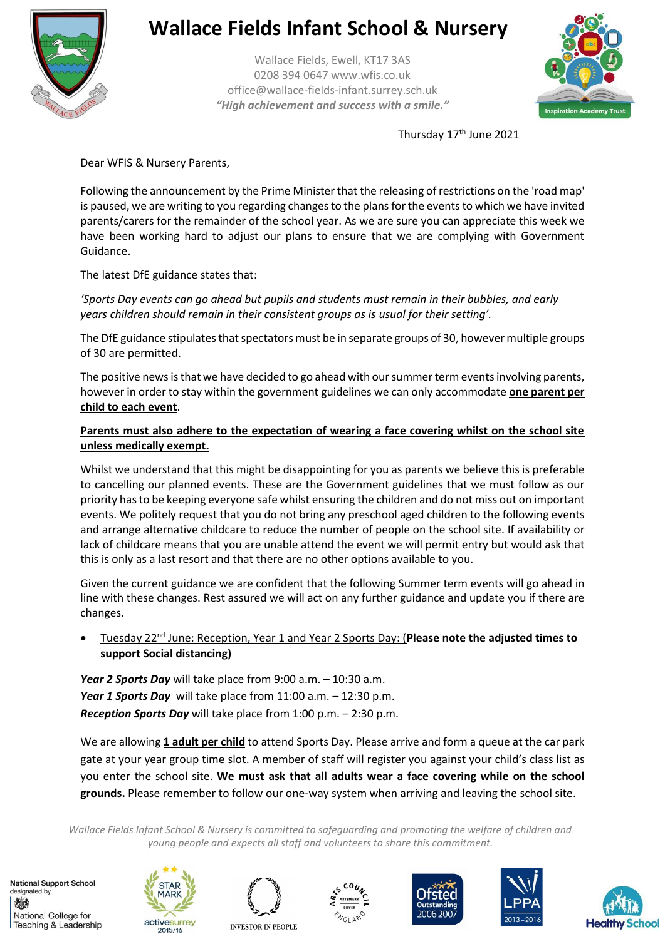

# **Wallace Fields Infant School & Nursery**

Wallace Fields, Ewell, KT17 3AS 0208 394 0647 www.wfis.co.uk office@wallace-fields-infant.surrey.sch.uk *"High achievement and success with a smile."*



Thursday 17<sup>th</sup> June 2021

Dear WFIS & Nursery Parents,

Following the announcement by the Prime Minister that the releasing of restrictions on the 'road map' is paused, we are writing to you regarding changes to the plans for the events to which we have invited parents/carers for the remainder of the school year. As we are sure you can appreciate this week we have been working hard to adjust our plans to ensure that we are complying with Government Guidance.

The latest DfE guidance states that:

*'Sports Day events can go ahead but pupils and students must remain in their bubbles, and early years children should remain in their consistent groups as is usual for their setting'.*

The DfE guidance stipulates that spectators must be in separate groups of 30, however multiple groups of 30 are permitted.

The positive news is that we have decided to go ahead with our summer term events involving parents, however in order to stay within the government guidelines we can only accommodate **one parent per child to each event**.

#### **Parents must also adhere to the expectation of wearing a face covering whilst on the school site unless medically exempt.**

Whilst we understand that this might be disappointing for you as parents we believe this is preferable to cancelling our planned events. These are the Government guidelines that we must follow as our priority has to be keeping everyone safe whilst ensuring the children and do not miss out on important events. We politely request that you do not bring any preschool aged children to the following events and arrange alternative childcare to reduce the number of people on the school site. If availability or lack of childcare means that you are unable attend the event we will permit entry but would ask that this is only as a last resort and that there are no other options available to you.

Given the current guidance we are confident that the following Summer term events will go ahead in line with these changes. Rest assured we will act on any further guidance and update you if there are changes.

 Tuesday 22nd June: Reception, Year 1 and Year 2 Sports Day: (**Please note the adjusted times to support Social distancing)**

*Year 2 Sports Day* will take place from 9:00 a.m. – 10:30 a.m. *Year 1 Sports Day* will take place from 11:00 a.m. – 12:30 p.m. *Reception Sports Day* will take place from 1:00 p.m. – 2:30 p.m.

We are allowing **1 adult per child** to attend Sports Day. Please arrive and form a queue at the car park gate at your year group time slot. A member of staff will register you against your child's class list as you enter the school site. **We must ask that all adults wear a face covering while on the school grounds.** Please remember to follow our one-way system when arriving and leaving the school site.

*Wallace Fields Infant School & Nursery is committed to safeguarding and promoting the welfare of children and young people and expects all staff and volunteers to share this commitment.*